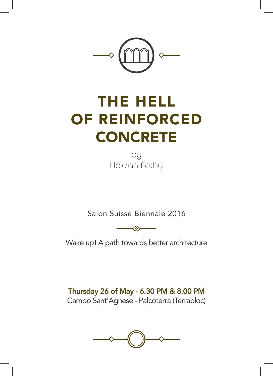

# THE HELL OF REINFORCED **CONCRETE**

by Hassan Fathy

Salon Suisse Biennale 2016

 $\rightsquigarrow$ 

Wake up! A path towards better architecture

Thursday 26 of May - 6.30 PM & 8.00 PM Campo Sant'Agnese - Palcoterra (Terrabloc)

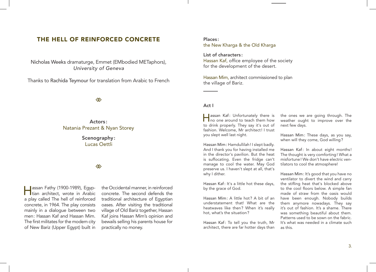### THE HELL OF REINFORCED CONCRETE

Nicholas Weeks dramaturge, Emmet (EMbodied METaphors), *University of Geneva*

Thanks to Rachida Teymour for translation from Arabic to French

◈

Actors : Natania Prezant & Nyan Storey

> Scenography: Lucas Oettli

#### 

**Jassan Fathy (1900-1989), Egyp-**I Itian architect, wrote in Arabic a play called The hell of reinforced concrete, in 1964. The play consists mainly in a dialogue between two men: Hassan Kaf and Hassan Mim. The first militates for the modem city of New Bariz (Upper Egypt) built in

the Occidental manner, in reinforced concrete. The second defends the traditional architecture of Egyptian oases. After visiting the traditional village of Old Bariz together, Hassan Kaf joins Hassan Mim's opinion and bewails selling his parents house for practically no money.

#### Places : the New Kharga & the Old Kharga

List of characters : Hassan Kaf, office employee of the society for the development of the desert.

Hassan Mim, architect commissioned to plan the village of Bariz.

#### Act I

Hassan Kaf: Unfortunately there is no one around to teach them how to drink properly. They say it's out of fashion. Welcome, Mr architect! I trust you slept well last night.

Hassan Mim: Hamdullilah! I slept badly. And I thank you for having installed me in the director's pavilion. But the heat is suffocating. Even the fridge can't manage to cool the water. May God preserve us. I haven't slept at all, that's why I dither.

Hassan Kaf: It's a little hot these days, by the grace of God.

Hassan Mim: A little hot? A bit of an understatement that! What are the heatwaves like then? When it's really hot, what's the situation?

Hassan Kaf: To tell you the truth, Mr architect, there are far hotter days than

the ones we are going through. The weather ought to improve over the next few days.

Hassan Mim: These days, as you say, when will they come, God willing?

Hassan Kaf: In about eight months ! The thought is very comforting! What a misfortune! We don't have electric ventilators to cool the atmosphere!

Hassan Mim: It's good that you have no ventilator to divert the wind and carry the stifling heat that's blocked above to the cool floors below. A simple fan made of straw from the oasis would have been enough. Nobody builds them anymore nowadays. They say it's out of fashion. It's a shame. There was something beautiful about them. Patterns used to be sown on the fabric. It's what was needed in a climate such as this.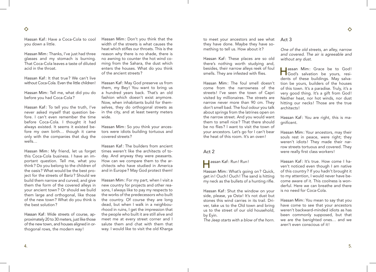Hassan Kaf: Have a Coca-Cola to cool you down a little.

Hassan Mim: Thanks, I've just had three glasses and my stomach is burning. That Coca-Cola leaves a taste of diluted acid in the throat.

Hassan Kaf: It that true? We can't live without Coca-Cola. Even the little children!

Hassan Mim: Tell me, what did you do before you had Coca-Cola?

Hassan Kaf: To tell you the truth, I've never asked myself that question before. I can't even remember the time before Coca-Cola. I thought it had always existed. It seems it existed before my own birth… though it came only with the companies that dug the wells…

Hassan Mim: My friend, let us forget this Coca-Cola business. I have an important question. Tell me, what you think ? Do you belong to the children of the oasis ? What would be the best project for the streets of Bariz ? Should we build them narrow and curved, and give them the form of the covered alleys in your ancient town? Or should we build them large and orthogonal, like those of the new town? What do you think is the best solution?

Hassan Kaf: Wide streets of course, approximately 20 to 30 meters, just like those of the new town, and houses aligned in orthogonal rows, the modern way !

Hassan Mim: Don't you think that the width of the streets is what causes the heat which stifles our throats. This is the reason why there is no shade, there is no awning to counter the hot wind coming from the Sahara, the dust which enters the houses. What do you think of the ancient streets ?

Hassan Kaf: May God preserve us from them, my Bey! You want to bring us a hundred years back. That's an old fashion which doesn't exist anymore. Now, when inhabitants build for themselves, they do orthogonal streets as in the city, and at least twenty meters wide.

Hassan Mim: So you think your ancestors were idiots building tortuous and covered streets ?

Hassan Kaf: The builders from ancient times weren't like the architects of today. And anyway they were peasants. How can we compare them to the architects who have studied in America and in Europe? May God protect them!

Hassan Mim: For my part, when I visit a new country for projects and other reasons, I always like to pay my respects to the works of the predecessors who built the country. Of course they are long dead, but when I walk in a neighbourhood in ruins, I get the impression that the people who built it are still alive and meet me at every street corner and I salute them and chat with them that way. I would like to visit the old Kharga

to meet your ancestors and see what they have done. Maybe they have something to tell us. How about it ?

Hassan Kaf: These places are so old there's nothing worth studying and, besides, their narrow alleys reek of foul smells. They are infested with flies.

Hassan Mim: The foul smell doesn't come from the narrowness of the streets! I've seen the town of Capri visited by millionaires. The streets are narrow never more than 90 cm. They don't smell bad. The foul odour you talk about springs from the latrines open on the narrow street. And you would want them to smell nice? That there should be no flies ? I want to visit the town of your ancestors. Let's go for I can't bear the heat of this room. It's an oven!

#### Act 2

## **Hassan Kaf: Run! Run!**

Hassan Mim: What's going on? Quick, get in! Ouch! Ouch! The sand is hitting my neck as the bullets of a hunting rifle.

Hassan Kaf: Shut the window on your side, please, ya Osta! It's not dust but stones this wind carries in its trail. Driver, take us to the Old town and bring us to the street of our old household, by Eyin.

*The Jeep starts with a blow of the horn.*

#### Act 3

*One of the old streets, an alley, narrow and covered. The air is agreeable and without any dust.*

Hassan Mim: Grace be to God! God's salvation be yours, residents of these buildings. May salvation be yours, builders of the houses of this town. It's a paradise. Truly, it's a very good thing. It's a gift from God! Neither heat, nor hot winds, nor dust hitting our necks! Those are the true architects !

Hassan Kaf: You are right, this is magnificent.

Hassan Mim: Your ancestors, may their souls rest in peace, were right; they weren't idiots! They made their narrow streets tortuous and covered. They were really first class workers !

Hassan Kaf: It's true. How come I haven't noticed even though I am native of this country ? If you hadn't brought it to my attention, I would never have become aware of it. This coolness is wonderful. Here we can breathe and there is no need for Coca-Cola.

Hassan Mim: You mean to say that you have come to see that your ancestors weren't backward-minded idiots as has been commonly supposed, but that we are the benighted ones… and we aren't even conscious of it!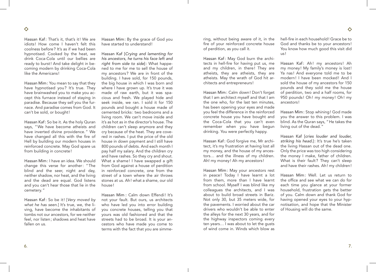Hassan Kaf: That's it, that's it! We are idiots! How come I haven't felt this coolness before? It's as if we had been hypnotised. Cooked by the heat, we drink Coca-Cola until our bellies are ready to burst! And take delight in becoming modern by drinking Coca-Cola like the Americans !

Hassan Mim: You mean to say that they have hypnotised you? It's true. They have brainwashed you to make you accept this furnace instead of staying in paradise. Because they sell you the furnace. And paradise comes from God. It can't be sold, or bought!

Hassan Kaf: So be it. As the holy Quran says, "We have become atheists and have inverted divine providence." We have changed all this with the fire of Hell by building our modern houses in reinforced concrete. May God spare us from building in concrete!

Hassan Mim: I have an idea. We should change this verse for another: "The blind and the seer, night and day, neither shadow, nor heat, and the living and the dead are equal. God listens and you can't hear those that lie in the cemetery."

Hassan Kaf: So be it! [*Very moved by what he has seen.*] It's true, we, the living, have become the inhabitants of tombs not our ancestors, for we neither feel, nor listen; shadows and heat have fallen on us.

Hassan Mim: By the grace of God you have started to understand!

Hassan Kaf [*Crying and lamenting for his ancestors, he turns his face left and right from side to side*]: What happened to me for me to sell the house of my ancestors ? We are in front of the building. I have sold, for 150 pounds, the big house in which I was born and where I have grown up. It's true it was made of raw earth, but it was spacious and fresh. We played hide and seek inside, we ran. I sold it for 150 pounds and bought a house made of cemented bricks : two bedrooms and a living room. We can't move inside and it's as hot as in the director's house. The children can't sleep anymore and they cry because of the heat. They are covered in rashes. I put the price of the old house in down payment and I still have 800 pounds of debts. And each month I pay half my salary. And the children cry and have rashes. So they cry and shout. What a shame! I have swapped a gift from God against a house of perdition in reinforced concrete, one from the street of a town where the air throws stones at us. Ah! what a shame, our old house!

Hassan Mim : Calm down Effendi! It's not your fault. But ours, us architects who have led you into error building you concrete houses, telling you that yours was old fashioned and that the streets had to be broad. It is your ancestors who have made you come to terms with the fact that you are simme-

ring, without being aware of it, in the fire of your reinforced concrete house of perdition, as you call it.

Hassan Kaf: May God burn the architects in hell-fire for having put us, me and my children, in there! They are atheists, they are atheists, they are atheists. May the wrath of God hit architects and entrepreneurs !

Hassan Mim: Calm down! Don't forget that I am architect myself and that I am the one who, for the last ten minutes, has been opening your eyes and made you feel the difference in the reinforced concrete house you have bought and the Coca-Cola that you can't even remember when you have begun drinking. You were perfectly happy.

Hassan Kaf: God forgive me, Mr architect, it's my frustration at having lost all my money, and the house of my ancestors… and the illness of my children. Ah! my money! Ah my ancestors!

Hassan Mim: May your ancestors rest in peace! Today I have learnt a lot from them, more than I have learnt from school. Myself I was blind like my colleagues the architects, and I was about to build broad streets in Bariz. Not only 30, but 35 meters wide, for the pavements. I worried about the car drivers who wouldn't be able to enter the alleys for the next 30 years, and for the highway inspectors coming every ten years… I was about to let the gusts of wind come in. Winds which blow as

hell-fire in each household! Grace be to God and thanks be to your ancestors ! You know how much good this visit did us !

♦

Hassan Kaf: Ah! my ancestors! Ah my money ! My family's money is lost! Ya nas! And everyone told me to be modern! I have been mocked! And I sold the house of my ancestors for 150 pounds and they sold me the house of perdition, two and a half rooms, for 950 pounds! Oh! my money! Oh! my ancestors !

Hassan Mim: Stop whining! God made you the answer to this problem. I was blind. As the Quran says, "He takes the living out of the dead."

Hassan Kaf [*cries louder and louder, striking his head.*]: It's true he's taken the living Hassan out of the dead one. Only the price was too high considering the money I make, father of children. What is their fault? They can't sleep and have their rashes. Ah! my children!

Hassan Mim: Well. Let us return to the office and see what we can do for each time you glance at your former household, frustration gets the better of you. Calm down and thank God for having opened your eyes to your hypnotisation, and hope that the Minister of Housing will do the same.